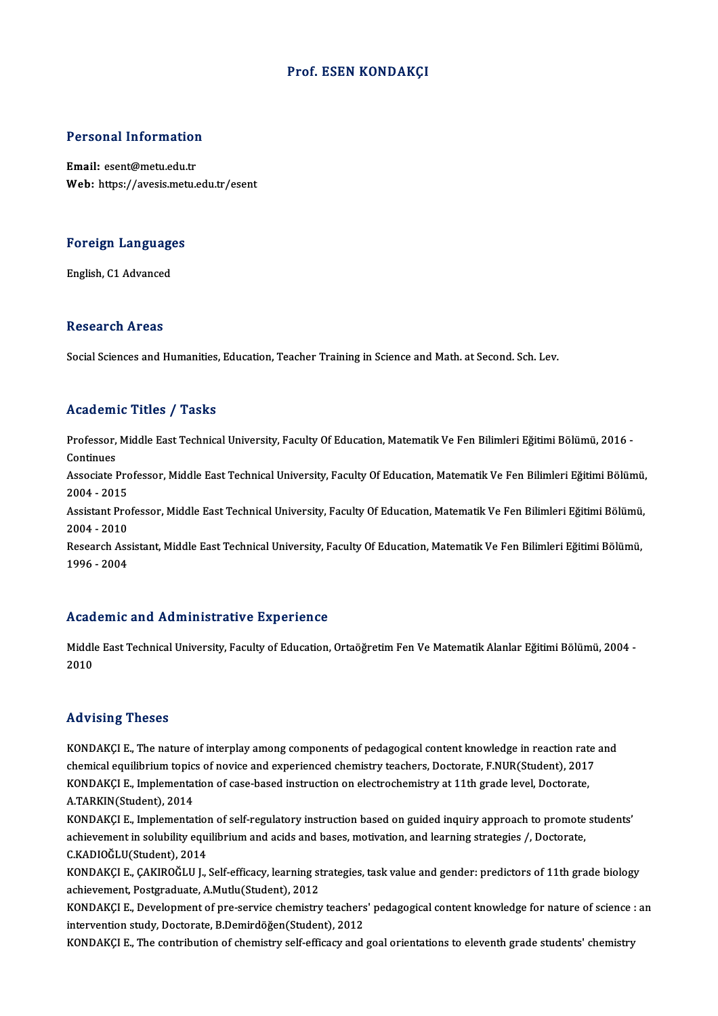#### Prof. ESEN KONDAKÇI

# Personal Information

Personal Information<br>Email: esent@metu.edu.tr<br>Web: https://avesis.mstv Email: esent@metu.edu.tr<br>Web: https://avesis.metu.edu.tr/esent

## Foreign Languages <mark>Foreign Language</mark><br>English, C1 Advanced

English, C1 Advanced<br>Research Areas

Social Sciences and Humanities, Education, Teacher Training in Science and Math. at Second. Sch. Lev.

#### Academic Titles / Tasks

A**cademic Titles / Tasks**<br>Professor, Middle East Technical University, Faculty Of Education, Matematik Ve Fen Bilimleri Eğitimi Bölümü, 2016 -Professor,<br>Continues<br>Associate I Professor, Middle East Technical University, Faculty Of Education, Matematik Ve Fen Bilimleri Eğitimi Bölümü, 2016 -<br>Continues<br>Associate Professor, Middle East Technical University, Faculty Of Education, Matematik Ve Fen B

Continues<br>Associate Pro<br>2004 - 2015<br>Assistant Pro Associate Professor, Middle East Technical University, Faculty Of Education, Matematik Ve Fen Bilimleri Eğitimi Bölümü,<br>2004 - 2015<br>Assistant Professor, Middle East Technical University, Faculty Of Education, Matematik Ve

2004 - 2015<br>Assistant Professor, Middle East Technical University, Faculty Of Education, Matematik Ve Fen Bilimleri Eğitimi Bölümü,<br>2004 - 2010 Assistant Professor, Middle East Technical University, Faculty Of Education, Matematik Ve Fen Bilimleri Eğitimi Bölümü,<br>2004 - 2010<br>Research Assistant, Middle East Technical University, Faculty Of Education, Matematik Ve F

2004 - 2010<br>Research Ass<br>1996 - 2004

## Academic and Administrative Experience

Academic and Administrative Experience<br>Middle East Technical University, Faculty of Education, Ortaöğretim Fen Ve Matematik Alanlar Eğitimi Bölümü, 2004 ntead<br>Middl<br>2010

## Advising Theses

Advising Theses<br>KONDAKÇI E., The nature of interplay among components of pedagogical content knowledge in reaction rate and<br>chamical aquilibrium tonics of novice and experienced chamistry teachers. Dectarate, E.NUR(Student rea violing interest.<br>KONDAKÇI E., The nature of interplay among components of pedagogical content knowledge in reaction rate<br>chemical equilibrium topics of novice and experienced chemistry teachers, Doctorate, F.NUR(Stude KONDAKÇI E., The nature of interplay among components of pedagogical content knowledge in reaction rat<br>chemical equilibrium topics of novice and experienced chemistry teachers, Doctorate, F.NUR(Student), 2011<br>KONDAKÇI E., chemical equilibrium topic:<br>KONDAKÇI E., Implementat<br>A.TARKIN(Student), 2014<br>KONDAKÇI E. Implementat KONDAKÇI E., Implementation of case-based instruction on electrochemistry at 11th grade level, Doctorate,<br>A.TARKIN(Student), 2014<br>KONDAKÇI E., Implementation of self-regulatory instruction based on guided inquiry approach

A.TARKIN(Student), 2014<br>KONDAKÇI E., Implementation of self-regulatory instruction based on guided inquiry approach to promote<br>achievement in solubility equilibrium and acids and bases, motivation, and learning strategies KONDAKÇI E., Implementation<br>achievement in solubility equi<br>C.KADIOĞLU(Student), 2014<br>KONDAKÇI E. CAKIBOĞLU L C.KADIOĞLU(Student), 2014<br>KONDAKÇI E., ÇAKIROĞLU J., Self-efficacy, learning strategies, task value and gender: predictors of 11th grade biology

achievement, Postgraduate, A.Mutlu(Student), 2012 KONDAKÇI E., ÇAKIROĞLU J., Self-efficacy, learning strategies, task value and gender: predictors of 11th grade biology<br>achievement, Postgraduate, A.Mutlu(Student), 2012<br>KONDAKÇI E., Development of pre-service chemistry tea

achievement, Postgraduate, A.Mutlu(Student), 2012<br>KONDAKÇI E., Development of pre-service chemistry teachers<br>intervention study, Doctorate, B.Demirdöğen(Student), 2012<br>KONDAKÇI E. The sontribution of shamistry self effices intervention study, Doctorate, B.Demirdöğen(Student), 2012<br>KONDAKÇI E., The contribution of chemistry self-efficacy and goal orientations to eleventh grade students' chemistry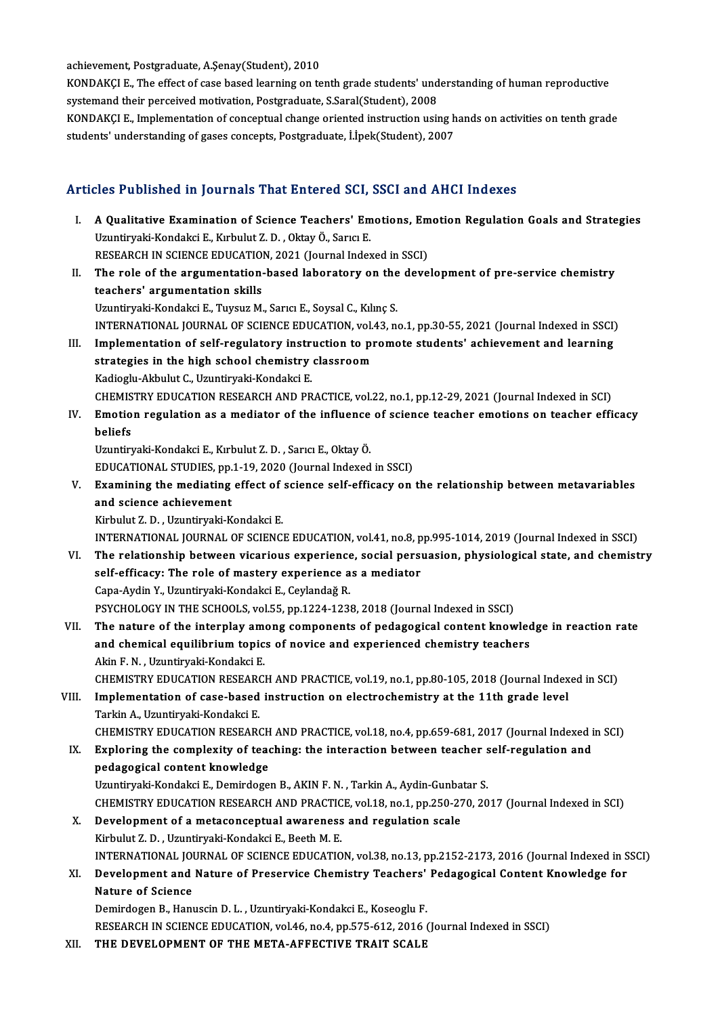achievement, Postgraduate, A.Şenay(Student), 2010

achievement, Postgraduate, A.Şenay(Student), 2010<br>KONDAKÇI E., The effect of case based learning on tenth grade students' understanding of human reproductive<br>systemend their perseived metivation, Pestsraducte, S.Sarel(Stud achievement, Postgraduate, A.Şenay(Student), 2010<br>KONDAKÇI E., The effect of case based learning on tenth grade students' und<br>systemand their perceived motivation, Postgraduate, S.Saral(Student), 2008<br>KONDAKÇI E. Implement KONDAKÇI E., The effect of case based learning on tenth grade students' understanding of human reproductive<br>systemand their perceived motivation, Postgraduate, S.Saral(Student), 2008<br>KONDAKÇI E., Implementation of conceptu

systemand their perceived motivation, Postgraduate, S.Saral(Student), 2008<br>KONDAKÇI E., Implementation of conceptual change oriented instruction using h<br>students' understanding of gases concepts, Postgraduate, İ.İpek(Stude

## students' understanding of gases concepts, Postgraduate, İ.İpek(Student), 2007<br>Articles Published in Journals That Entered SCI, SSCI and AHCI Indexes

- rticles Published in Journals That Entered SCI, SSCI and AHCI Indexes<br>I. A Qualitative Examination of Science Teachers' Emotions, Emotion Regulation Goals and Strategies<br>Umptimeli Kondaksi E. Kurbulut 7. D. Oktav Ö. Sama E NES TUBRISHED III JOUTHUIS THUI ENTERTUR USH,<br>A Qualitative Examination of Science Teachers' Em<br>Uzuntiryaki-Kondakci E., Kırbulut Z. D., Oktay Ö., Sarıcı E. Uzuntiryaki-Kondakci E., Kırbulut Z. D. , Oktay Ö., Sarıcı E.<br>RESEARCH IN SCIENCE EDUCATION, 2021 (Journal Indexed in SSCI) Uzuntiryaki-Kondakci E., Kırbulut Z. D. , Oktay Ö., Sarıcı E.<br>RESEARCH IN SCIENCE EDUCATION, 2021 (Journal Indexed in SSCI)<br>II. The role of the argumentation-based laboratory on the development of pre-service chemistry<br>tea RESEARCH IN SCIENCE EDUCATION<br>The role of the argumentation<br>teachers' argumentation skills<br>Umptimels Kondeksi E. Tuyouz M The role of the argumentation-based laboratory on the<br>teachers' argumentation skills<br>Uzuntiryaki-Kondakci E., Tuysuz M., Sarıcı E., Soysal C., Kılınç S.<br>INTERNATIONAL JOURNAL OF SCIENCE EDUCATION .val.42 .p teachers' argumentation skills<br>Uzuntiryaki-Kondakci E., Tuysuz M., Sarıcı E., Soysal C., Kılınç S.<br>INTERNATIONAL JOURNAL OF SCIENCE EDUCATION, vol.43, no.1, pp.30-55, 2021 (Journal Indexed in SSCI) III. Implementation of self-regulatory instruction to promote students' achievement and learning INTERNATIONAL JOURNAL OF SCIENCE EDUCATION, vol.<br>Implementation of self-regulatory instruction to pi<br>strategies in the high school chemistry classroom<br>Vadiasly Althulut C. Usuntinvaki Kandaksi E Implementation of self-regulatory instri<br>strategies in the high school chemistry<br>Kadioglu-Akbulut C., Uzuntiryaki-Kondakci E.<br>CHEMISTRY EDUCATION RESEARCH AND PR strategies in the high school chemistry classroom<br>Kadioglu-Akbulut C., Uzuntiryaki-Kondakci E.<br>CHEMISTRY EDUCATION RESEARCH AND PRACTICE, vol.22, no.1, pp.12-29, 2021 (Journal Indexed in SCI)<br>Emotion regulation as a modiat Kadioglu-Akbulut C., Uzuntiryaki-Kondakci E.<br>CHEMISTRY EDUCATION RESEARCH AND PRACTICE, vol.22, no.1, pp.12-29, 2021 (Journal Indexed in SCI)<br>IV. Emotion regulation as a mediator of the influence of science teacher emotion CHEMIS<br><mark>Emotio</mark><br>beliefs<br><sup>Hauntin</sub></sup> IV. Emotion regulation as a mediator of the influence of science teacher emotions on teacher efficacy<br>beliefs<br>Uzuntiryaki-Kondakci E., Kırbulut Z. D. , Sarıcı E., Oktay Ö. beliefs<br>Uzuntiryaki-Kondakci E., Kırbulut Z. D. , Sarıcı E., Oktay Ö.<br>EDUCATIONAL STUDIES, pp.1-19, 2020 (Journal Indexed in SSCI)<br>Evamining the modiating effect of sejange self efficesy on Vzuntiryaki-Kondakci E., Kırbulut Z. D. , Sarıcı E., Oktay Ö.<br>EDUCATIONAL STUDIES, pp.1-19, 2020 (Journal Indexed in SSCI)<br>V. Examining the mediating effect of science self-efficacy on the relationship between metavariable EDUCATIONAL STUDIES, pp.<br>Examining the mediating<br>and science achievement<br>Eishulut 7. D. Hauntinuali K Examining the mediating effect of<br>and science achievement<br>Kirbulut Z.D. , Uzuntiryaki-Kondakci E.<br>INTERNATIONAL JOURNAL OF SCIENCI and science achievement<br>Kirbulut Z. D. , Uzuntiryaki-Kondakci E.<br>INTERNATIONAL JOURNAL OF SCIENCE EDUCATION, vol.41, no.8, pp.995-1014, 2019 (Journal Indexed in SSCI) VI. The relationship between vicarious experience, social persuasion, physiological state, and chemistry INTERNATIONAL JOURNAL OF SCIENCE EDUCATION, vol.41, no.8, p<br>The relationship between vicarious experience, social persi<br>self-efficacy: The role of mastery experience as a mediator<br>Cana Audin V. Heuntinuali Kondaksi E. Caul The relationship between vicarious experience<br>self-efficacy: The role of mastery experience a<br>Capa-Aydin Y., Uzuntiryaki-Kondakci E., Ceylandağ R.<br>PSYCHOLOCY IN THE SCHOOLS VALEE pp.1224.1224 Capa-Aydin Y., Uzuntiryaki-Kondakci E., Ceylandağ R.<br>PSYCHOLOGY IN THE SCHOOLS, vol.55, pp.1224-1238, 2018 (Journal Indexed in SSCI) Capa-Aydin Y., Uzuntiryaki-Kondakci E., Ceylandağ R.<br>PSYCHOLOGY IN THE SCHOOLS, vol.55, pp.1224-1238, 2018 (Journal Indexed in SSCI)<br>VII. The nature of the interplay among components of pedagogical content knowledge in rea PSYCHOLOGY IN THE SCHOOLS, vol.55, pp.1224-1238, 2018 (Journal Indexed in SSCI)<br>The nature of the interplay among components of pedagogical content knowled<br>and chemical equilibrium topics of novice and experienced chemistr The nature of the interplay amend chemical equilibrium topic<br>Akin F. N. , Uzuntiryaki-Kondakci E.<br>CHEMISTRY EDUCATION RESEARC and chemical equilibrium topics of novice and experienced chemistry teachers<br>Akin F. N. , Uzuntiryaki-Kondakci E.<br>CHEMISTRY EDUCATION RESEARCH AND PRACTICE, vol.19, no.1, pp.80-105, 2018 (Journal Indexed in SCI)<br>Implementa Akin F. N. , Uzuntiryaki-Kondakci E.<br>CHEMISTRY EDUCATION RESEARCH AND PRACTICE, vol.19, no.1, pp.80-105, 2018 (Journal Index<br>VIII. Implementation of case-based instruction on electrochemistry at the 11th grade level<br>Tarkin CHEMISTRY EDUCATION RESEAR<br>Implementation of case-based<br>Tarkin A., Uzuntiryaki-Kondakci E.<br>CHEMISTRY EDUCATION RESEAR Implementation of case-based instruction on electrochemistry at the 11th grade level<br>Tarkin A., Uzuntiryaki-Kondakci E.<br>CHEMISTRY EDUCATION RESEARCH AND PRACTICE, vol.18, no.4, pp.659-681, 2017 (Journal Indexed in SCI)<br>Evp Tarkin A., Uzuntiryaki-Kondakci E.<br>CHEMISTRY EDUCATION RESEARCH AND PRACTICE, vol.18, no.4, pp.659-681, 2017 (Journal Indexed i<br>IX. Exploring the complexity of teaching: the interaction between teacher self-regulation and<br> CHEMISTRY EDUCATION RESEARCH<br>Exploring the complexity of tead<br>pedagogical content knowledge IX. Exploring the complexity of teaching: the interaction between teacher self-regulation and pedagogical content knowledge<br>Uzuntiryaki-Kondakci E., Demirdogen B., AKIN F. N. , Tarkin A., Aydin-Gunbatar S. CHEMISTRY EDUCATION RESEARCH AND PRACTICE, vol.18, no.1, pp.250-270, 2017 (Journal Indexed in SCI) X. Development of ametaconceptual awareness and regulation scale Kirbulut Z.D., Uzuntiryaki-Kondakci E., Beeth M.E. INTERNATIONAL JOURNALOF SCIENCEEDUCATION,vol.38,no.13,pp.2152-2173,2016 (Journal Indexed inSSCI) Kirbulut Z. D. , Uzuntiryaki-Kondakci E., Beeth M. E.<br>INTERNATIONAL JOURNAL OF SCIENCE EDUCATION, vol.38, no.13, pp.2152-2173, 2016 (Journal Indexed in S<br>XI. Development and Nature of Preservice Chemistry Teachers' Ped INTERNATIONAL JOU<br>Development and<br>Nature of Science<br>Demindesen B. Hani Development and Nature of Preservice Chemistry Teachers'<br>Nature of Science<br>Demirdogen B., Hanuscin D. L. , Uzuntiryaki-Kondakci E., Koseoglu F.<br>RESEARCH IN SCIENCE EDUCATION vol.46 no.4 np 575-613-2016 ( Nature of Science<br>Demirdogen B., Hanuscin D. L. , Uzuntiryaki-Kondakci E., Koseoglu F.<br>RESEARCH IN SCIENCE EDUCATION, vol.46, no.4, pp.575-612, 2016 (Journal Indexed in SSCI)
- XII. THE DEVELOPMENT OF THE META-AFFECTIVE TRAIT SCALE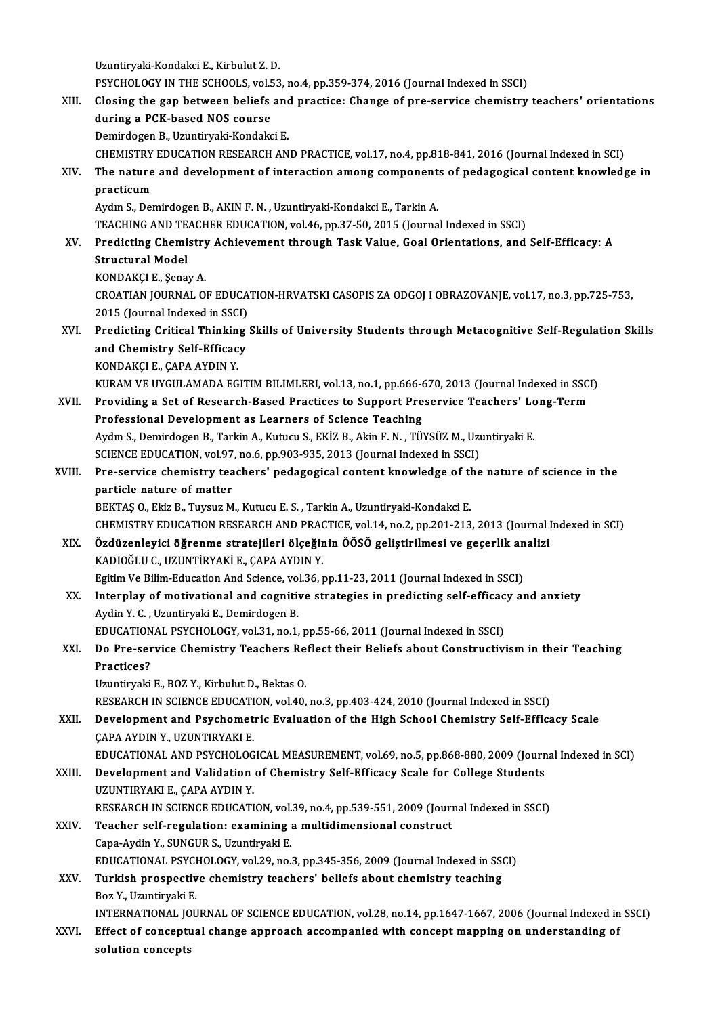Uzuntiryaki-KondakciE.,KirbulutZ.D. Uzuntiryaki-Kondakci E., Kirbulut Z. D.<br>PSYCHOLOGY IN THE SCHOOLS, vol.53, no.4, pp.359-374, 2016 (Journal Indexed in SSCI)<br>Closing the gan between beliefs and presties: Change of nue service shemistry. XIII. Closing the gap between beliefs and practice: Change of pre-service chemistry teachers' orientations during a PCK-based NOS course PSYCHOLOGY IN THE SCHOOLS, vol.5<br>Closing the gap between beliefs<br>during a PCK-based NOS course Demirdogen B., Uzuntiryaki-Kondakci E. CHEMISTRYEDUCATIONRESEARCHANDPRACTICE,vol.17,no.4,pp.818-841,2016 (Journal Indexed inSCI) Demirdogen B., Uzuntiryaki-Kondakci E.<br>CHEMISTRY EDUCATION RESEARCH AND PRACTICE, vol.17, no.4, pp.818-841, 2016 (Journal Indexed in SCI)<br>XIV. The nature and development of interaction among components of pedagogical c CHEMISTRY<br>The nature<br>practicum<br>Audu S. Dex practicum<br>Aydın S., Demirdogen B., AKIN F. N. , Uzuntiryaki-Kondakci E., Tarkin A. TEACHING AND TEACHER EDUCATION, vol.46, pp.37-50, 2015 (Journal Indexed in SSCI) Aydın S., Demirdogen B., AKIN F. N. , Uzuntiryaki-Kondakci E., Tarkin A.<br>TEACHING AND TEACHER EDUCATION, vol.46, pp.37-50, 2015 (Journal Indexed in SSCI)<br>XV. Predicting Chemistry Achievement through Task Value, Goal Or Structural Model<br>KONDAKÇI E., Şenay A. Predicting Chemistry<br>Structural Model<br>KONDAKÇI E., Şenay A.<br>CPOATIAN IQUPNAL Q Structural Model<br>KONDAKÇI E., Şenay A.<br>CROATIAN JOURNAL OF EDUCATION-HRVATSKI CASOPIS ZA ODGOJ I OBRAZOVANJE, vol.17, no.3, pp.725-753,<br>2015 (Journal Indoved in SSC) KONDAKÇI E., Şenay A.<br>CROATIAN JOURNAL OF EDUCA<br>2015 (Journal Indexed in SSCI)<br>Prodisting Critical Thinking CROATIAN JOURNAL OF EDUCATION-HRVATSKI CASOPIS ZA ODGOJ I OBRAZOVANJE, vol.17, no.3, pp.725-753,<br>2015 (Journal Indexed in SSCI)<br>XVI. Predicting Critical Thinking Skills of University Students through Metacognitive Self-Reg 2015 (Journal Indexed in SSCI)<br>Predicting Critical Thinking<br>and Chemistry Self-Efficacy<br>KONDAKCLE CARA AYDIN V Predicting Critical Thinkin<br>and Chemistry Self-Efficac<br>KONDAKÇI E., ÇAPA AYDIN Y.<br>KURAM VE UYÇULAMADA EC and Chemistry Self-Efficacy<br>KONDAKÇI E., ÇAPA AYDIN Y.<br>KURAM VE UYGULAMADA EGITIM BILIMLERI, vol.13, no.1, pp.666-670, 2013 (Journal Indexed in SSCI) KONDAKÇI E., ÇAPA AYDIN Y.<br>KURAM VE UYGULAMADA EGITIM BILIMLERI, vol.13, no.1, pp.666-670, 2013 (Journal Indexed in SSC.<br>XVII. Providing a Set of Research-Based Practices to Support Preservice Teachers' Long-Term KURAM VE UYGULAMADA EGITIM BILIMLERI, vol.13, no.1, pp.666-6<br>Providing a Set of Research-Based Practices to Support Pre<br>Professional Development as Learners of Science Teaching<br>Avdu S. Demirdegen B. Tarkin A. Kutucu S. EKİ Providing a Set of Research-Based Practices to Support Preservice Teachers' Lo<br>Professional Development as Learners of Science Teaching<br>Aydın S., Demirdogen B., Tarkin A., Kutucu S., EKİZ B., Akin F. N. , TÜYSÜZ M., Uzunti Professional Development as Learners of Science Teaching<br>Aydın S., Demirdogen B., Tarkin A., Kutucu S., EKİZ B., Akin F. N. , TÜYSÜZ M., Uzı<br>SCIENCE EDUCATION, vol.97, no.6, pp.903-935, 2013 (Journal Indexed in SSCI)<br>Pre-s Aydın S., Demirdogen B., Tarkin A., Kutucu S., EKİZ B., Akin F. N. , TÜYSÜZ M., Uzuntiryaki E.<br>SCIENCE EDUCATION, vol.97, no.6, pp.903-935, 2013 (Journal Indexed in SSCI)<br>XVIII. Pre-service chemistry teachers' pedagogical SCIENCE EDUCATION, vol.97<br>Pre-service chemistry tea<br>particle nature of matter<br>PEKTAS O. Flig B. Tuyouz M Pre-service chemistry teachers' pedagogical content knowledge of the<br>particle nature of matter<br>BEKTAŞ O., Ekiz B., Tuysuz M., Kutucu E. S. , Tarkin A., Uzuntiryaki-Kondakci E.<br>CHEMISTRY EDUCATION RESEARCH AND BRACTICE vol. particle nature of matter<br>BEKTAŞ O., Ekiz B., Tuysuz M., Kutucu E. S. , Tarkin A., Uzuntiryaki-Kondakci E.<br>CHEMISTRY EDUCATION RESEARCH AND PRACTICE, vol.14, no.2, pp.201-213, 2013 (Journal Indexed in SCI) BEKTAŞ O., Ekiz B., Tuysuz M., Kutucu E. S. , Tarkin A., Uzuntiryaki-Kondakci E.<br>CHEMISTRY EDUCATION RESEARCH AND PRACTICE, vol.14, no.2, pp.201-213, 2013 (Journal l<br>XIX. Özdüzenleyici öğrenme stratejileri ölçeğinin ÖÖSÖ g KADIOĞLUC.,UZUNTİRYAKİE.,ÇAPAAYDINY. Özdüzenleyici öğrenme stratejileri ölçeğinin ÖÖSÖ geliştirilmesi ve geçerlik an<br>KADIOĞLU C., UZUNTİRYAKİ E., ÇAPA AYDIN Y.<br>Egitim Ve Bilim-Education And Science, vol.36, pp.11-23, 2011 (Journal Indexed in SSCI)<br>Internley o XX. Interplay of motivational and cognitive strategies in predicting self-efficacy and anxiety Aydin Y. C., Uzuntiryaki E., Demirdogen B. Egitim Ve Bilim-Education And Science, vol.36, pp.11-23, 2011 (Journal Indexed in SSCI) Interplay of motivational and cognitive strategies in predicting self-efficac<br>Aydin Y. C. , Uzuntiryaki E., Demirdogen B.<br>EDUCATIONAL PSYCHOLOGY, vol.31, no.1, pp.55-66, 2011 (Journal Indexed in SSCI)<br>De Pre servise Chemis

## Aydin Y. C. , Uzuntiryaki E., Demirdogen B.<br>EDUCATIONAL PSYCHOLOGY, vol.31, no.1, pp.55-66, 2011 (Journal Indexed in SSCI)<br>XXI. Do Pre-service Chemistry Teachers Reflect their Beliefs about Constructivism in their Teaching EDUCATION<br>Do Pre-ser<br>Practices?<br>Umntimoli Do Pre-service Chemistry Teachers Re<br>Practices?<br>Uzuntiryaki E., BOZ Y., Kirbulut D., Bektas O.<br>BESEARCH IN SCIENCE EDUCATION .vel 40. Practices?<br>Uzuntiryaki E., BOZ Y., Kirbulut D., Bektas O.<br>RESEARCH IN SCIENCE EDUCATION, vol.40, no.3, pp.403-424, 2010 (Journal Indexed in SSCI)

Uzuntiryaki E., BOZ Y., Kirbulut D., Bektas O.<br>RESEARCH IN SCIENCE EDUCATION, vol.40, no.3, pp.403-424, 2010 (Journal Indexed in SSCI)<br>XXII. Development and Psychometric Evaluation of the High School Chemistry Self-Efficac RESEARCH IN SCIENCE EDUCATI<br>Development and Psychomet<br>ÇAPA AYDIN Y., UZUNTIRYAKI E.<br>EDUCATIONAL AND PSYCHOLOC Development and Psychometric Evaluation of the High School Chemistry Self-Efficacy Scale<br>ÇAPA AYDIN Y., UZUNTIRYAKI E.<br>EDUCATIONAL AND PSYCHOLOGICAL MEASUREMENT, vol.69, no.5, pp.868-880, 2009 (Journal Indexed in SCI)<br>Dave

- CAPA AYDIN Y., UZUNTIRYAKI E.<br>EDUCATIONAL AND PSYCHOLOGICAL MEASUREMENT, vol.69, no.5, pp.868-880, 2009 (Journ<br>XXIII. Development and Validation of Chemistry Self-Efficacy Scale for College Students EDUCATIONAL AND PSYCHOLOG<br>Development and Validation<br>UZUNTIRYAKI E., ÇAPA AYDIN Y.<br>PESEARCH IN SCIENCE EDUCATI Development and Validation of Chemistry Self-Efficacy Scale for College Students<br>UZUNTIRYAKI E., ÇAPA AYDIN Y.<br>RESEARCH IN SCIENCE EDUCATION, vol.39, no.4, pp.539-551, 2009 (Journal Indexed in SSCI)<br>Teacher self requlation RESEARCH IN SCIENCE EDUCATION, vol.39, no.4, pp.539-551, 2009 (Journal Indexed in SSCI)
- UZUNTIRYAKI E., ÇAPA AYDIN Y.<br>RESEARCH IN SCIENCE EDUCATION, vol.39, no.4, pp.539-551, 2009 (Journ<br>XXIV. Teacher self-regulation: examining a multidimensional construct<br>Capa-Aydin Y., SUNGUR S., Uzuntiryaki E.

EDUCATIONAL PSYCHOLOGY, vol.29, no.3, pp.345-356, 2009 (Journal Indexed in SSCI)

- Capa-Aydin Y., SUNGUR S., Uzuntiryaki E.<br>EDUCATIONAL PSYCHOLOGY, vol.29, no.3, pp.345-356, 2009 (Journal Indexed in SSGNAVIONAL PSYCHOLOGY, vol.29, no.3, pp.345-356, 2009 (Journal Indexed in SSGNAVIONAL PSYCHOLOGY, vol.29, EDUCATIONAL PSYCI<br>Turkish prospectiv<br>Boz Y., Uzuntiryaki E.<br>INTERNATIONAL IOU Boz Y., Uzuntiryaki E.<br>INTERNATIONAL JOURNAL OF SCIENCE EDUCATION, vol.28, no.14, pp.1647-1667, 2006 (Journal Indexed in SSCI)
- Boz Y., Uzuntiryaki E.<br>INTERNATIONAL JOURNAL OF SCIENCE EDUCATION, vol.28, no.14, pp.1647-1667, 2006 (Journal Indexed in<br>XXVI. Effect of conceptual change approach accompanied with concept mapping on understanding of INTERNATIONAL JC<br>Effect of concepti<br>solution concepts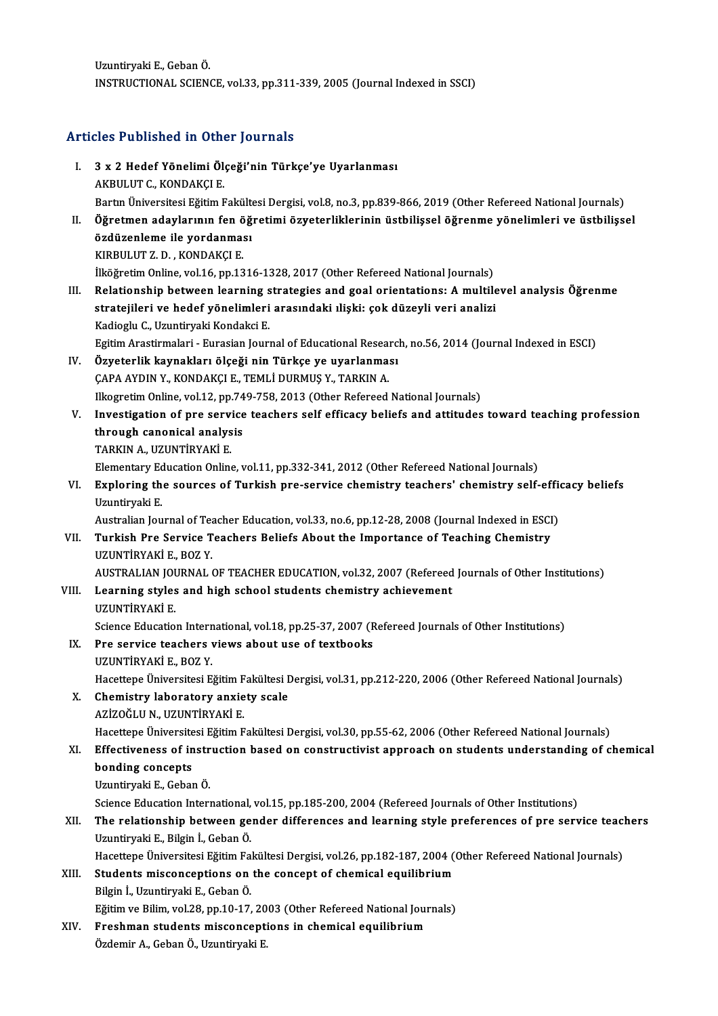UzuntiryakiE.,GebanÖ. INSTRUCTIONAL SCIENCE, vol.33, pp.311-339, 2005 (Journal Indexed in SSCI)

# Articles Published in Other Journals

| <b>Articles Published in Other Journals</b> |                                                                                                                                                                                                           |
|---------------------------------------------|-----------------------------------------------------------------------------------------------------------------------------------------------------------------------------------------------------------|
| L.                                          | 3 x 2 Hedef Yönelimi Ölçeği'nin Türkçe'ye Uyarlanması<br>AKBULUT C., KONDAKÇI E.                                                                                                                          |
|                                             | Bartın Üniversitesi Eğitim Fakültesi Dergisi, vol.8, no.3, pp.839-866, 2019 (Other Refereed National Journals)                                                                                            |
| П.                                          | Öğretmen adaylarının fen öğretimi özyeterliklerinin üstbilişsel öğrenme yönelimleri ve üstbilişsel                                                                                                        |
|                                             | özdüzenleme ile yordanması                                                                                                                                                                                |
|                                             | KIRBULUT Z.D., KONDAKÇI E.                                                                                                                                                                                |
| III.                                        | İlköğretim Online, vol.16, pp.1316-1328, 2017 (Other Refereed National Journals)                                                                                                                          |
|                                             | Relationship between learning strategies and goal orientations: A multilevel analysis Öğrenme                                                                                                             |
|                                             | stratejileri ve hedef yönelimleri arasındaki ılişki: çok düzeyli veri analizi                                                                                                                             |
|                                             | Kadioglu C., Uzuntiryaki Kondakci E.<br>Egitim Arastirmalari - Eurasian Journal of Educational Research, no.56, 2014 (Journal Indexed in ESCI)                                                            |
| IV.                                         | Özyeterlik kaynakları ölçeği nin Türkçe ye uyarlanması                                                                                                                                                    |
|                                             | ÇAPA AYDIN Y., KONDAKÇI E., TEMLİ DURMUŞ Y., TARKIN A.                                                                                                                                                    |
|                                             | Ilkogretim Online, vol.12, pp.749-758, 2013 (Other Refereed National Journals)                                                                                                                            |
| V.                                          | Investigation of pre service teachers self efficacy beliefs and attitudes toward teaching profession                                                                                                      |
|                                             | through canonical analysis                                                                                                                                                                                |
|                                             | TARKIN A., UZUNTİRYAKİ E.                                                                                                                                                                                 |
|                                             | Elementary Education Online, vol.11, pp.332-341, 2012 (Other Refereed National Journals)                                                                                                                  |
| VI.                                         | Exploring the sources of Turkish pre-service chemistry teachers' chemistry self-efficacy beliefs                                                                                                          |
|                                             | Uzuntiryaki E                                                                                                                                                                                             |
|                                             | Australian Journal of Teacher Education, vol.33, no.6, pp.12-28, 2008 (Journal Indexed in ESCI)                                                                                                           |
| VII.                                        | Turkish Pre Service Teachers Beliefs About the Importance of Teaching Chemistry                                                                                                                           |
|                                             | UZUNTIRYAKI E., BOZ Y.                                                                                                                                                                                    |
|                                             | AUSTRALIAN JOURNAL OF TEACHER EDUCATION, vol.32, 2007 (Refereed Journals of Other Institutions)                                                                                                           |
| VIII.                                       | Learning styles and high school students chemistry achievement                                                                                                                                            |
|                                             | UZUNTİRYAKİ E.                                                                                                                                                                                            |
|                                             | Science Education International, vol.18, pp.25-37, 2007 (Refereed Journals of Other Institutions)                                                                                                         |
| IX.                                         | Pre service teachers views about use of textbooks                                                                                                                                                         |
|                                             | UZUNTIRYAKI E , BOZ Y                                                                                                                                                                                     |
|                                             | Hacettepe Üniversitesi Eğitim Fakültesi Dergisi, vol.31, pp.212-220, 2006 (Other Refereed National Journals)                                                                                              |
| X.                                          | Chemistry laboratory anxiety scale                                                                                                                                                                        |
|                                             | AZİZOĞLU N., UZUNTİRYAKİ E.                                                                                                                                                                               |
|                                             | Hacettepe Üniversitesi Eğitim Fakültesi Dergisi, vol.30, pp.55-62, 2006 (Other Refereed National Journals)                                                                                                |
| XI.                                         | Effectiveness of instruction based on constructivist approach on students understanding of chemical                                                                                                       |
|                                             | bonding concepts                                                                                                                                                                                          |
|                                             | Uzuntiryaki E, Geban Ö.                                                                                                                                                                                   |
| XII.                                        | Science Education International, vol.15, pp.185-200, 2004 (Refereed Journals of Other Institutions)<br>The relationship between gender differences and learning style preferences of pre service teachers |
|                                             | Uzuntiryaki E., Bilgin İ., Geban Ö.                                                                                                                                                                       |
|                                             | Hacettepe Üniversitesi Eğitim Fakültesi Dergisi, vol.26, pp.182-187, 2004 (Other Refereed National Journals)                                                                                              |
| XIII.                                       | Students misconceptions on the concept of chemical equilibrium                                                                                                                                            |
|                                             | Bilgin İ., Uzuntiryaki E., Geban Ö.                                                                                                                                                                       |
|                                             | Eğitim ve Bilim, vol.28, pp.10-17, 2003 (Other Refereed National Journals)                                                                                                                                |
| XIV.                                        | Freshman students misconceptions in chemical equilibrium                                                                                                                                                  |
|                                             | Özdemir A., Geban Ö., Uzuntiryaki E.                                                                                                                                                                      |
|                                             |                                                                                                                                                                                                           |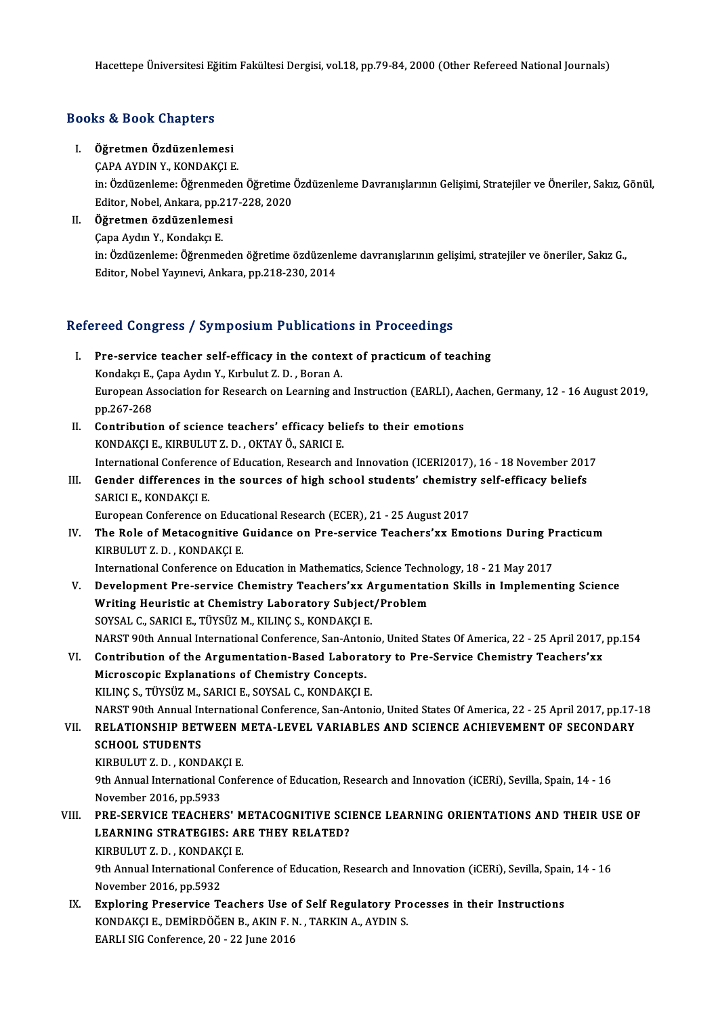Hacettepe Üniversitesi Eğitim Fakültesi Dergisi, vol.18, pp.79-84, 2000 (Other Refereed National Journals)

### Books&Book Chapters

I. Öğretmen Özdüzenlemesi

ÇAPAAYDINY.,KONDAKÇIE. **Öğretmen Özdüzenlemesi**<br>ÇAPA AYDIN Y., KONDAKÇI E.<br>in: Özdüzenleme: Öğrenmeden Öğretime Özdüzenleme Davranışlarının Gelişimi, Stratejiler ve Öneriler, Sakız, Gönül, ÇAPA AYDIN Y., KONDAKÇI E.<br>in: Özdüzenleme: Öğrenmeden Öğretime<br>Editor, Nobel, Ankara, pp.217-228, 2020<br>Öğretmen özdüzenlemesi in: Özdüzenleme: Öğrenmede<br>Editor, Nobel, Ankara, pp.217<br>II. Öğretmen özdüzenlemesi

Editor, Nobel, Ankara, pp.217-228, 2020<br>II. Öğretmen özdüzenlemesi<br>Capa Aydın Y., Kondakçı E. Öğretmen özdüzenlemesi<br>Çapa Aydın Y., Kondakçı E.<br>in: Özdüzenleme: Öğrenmeden öğretime özdüzenleme davranışlarının gelişimi, stratejiler ve öneriler, Sakız G.,<br>Editor, Nobel Yayınavi, Ankana, np.218.220.2014. Çapa Aydın Y., Kondakçı E.<br>in: Özdüzenleme: Öğrenmeden öğretime özdüzenle<br>Editor, Nobel Yayınevi, Ankara, pp.218-230, 2014

## Editor, Nobel Yayınevi, Ankara, pp.218-230, 2014<br>Refereed Congress / Symposium Publications in Proceedings

- efereed Congress / Symposium Publications in Proceedings<br>I. Pre-service teacher self-efficacy in the context of practicum of teaching<br>Kondeky E. Cana Audu Y. Kubulut Z. D. Beran A. Pre-service teacher self-efficacy in the conte:<br>Kondakçı E., Çapa Aydın Y., Kırbulut Z. D., Boran A.<br>European Accociation for Besearch on Learning an European Association for Research on Learning and Instruction (EARLI), Aachen, Germany, 12 - 16 August 2019, pp.267-268 Kondakçı E., Çapa Aydın Y., Kırbulut Z. D., Boran A. European Association for Research on Learning and Instruction (EARLI), Aa<br>pp.267-268<br>II. Contribution of science teachers' efficacy beliefs to their emotions<br>KONDAKCLE KIPPIILITZ D. OKTAY Ö. SAPICLE
- pp.267-268<br>Contribution of science teachers' efficacy bel<br>KONDAKÇI E., KIRBULUT Z. D. , OKTAY Ö., SARICI E.<br>International Conference of Education, Beseersh an Contribution of science teachers' efficacy beliefs to their emotions<br>KONDAKÇI E., KIRBULUT Z. D. , OKTAY Ö., SARICI E.<br>International Conference of Education, Research and Innovation (ICERI2017), 16 - 18 November 2017<br>Conde KONDAKÇI E., KIRBULUT Z. D. , OKTAY Ö., SARICI E.<br>International Conference of Education, Research and Innovation (ICERI2017), 16 - 18 November 201<br>III. Gender differences in the sources of high school students' chemistry s
- International Conference<br>Gender differences in<br>SARICI E., KONDAKÇI E.<br>European Conference e Gender differences in the sources of high school students' chemistry<br>SARICI E., KONDAKÇI E.<br>European Conference on Educational Research (ECER), 21 - 25 August 2017<br>The Bole of Metasosnitive Guidance on Bre souvise Teachers

SARICI E., KONDAKÇI E.<br>European Conference on Educational Research (ECER), 21 - 25 August 2017<br>IV. The Role of Metacognitive Guidance on Pre-service Teachers'xx Emotions During Practicum<br>EURPULUTZ D. FONDAFCLE European Conference on Educ<br>The Role of Metacognitive<br>KIRBULUT Z.D., KONDAKÇI E.<br>International Conference on Es The Role of Metacognitive Guidance on Pre-service Teachers'xx Emotions During P:<br>KIRBULUT Z.D., KONDAKÇI E.<br>International Conference on Education in Mathematics, Science Technology, 18 - 21 May 2017<br>Development Pre-service

- KIRBULUT Z. D. , KONDAKÇI E.<br>International Conference on Education in Mathematics, Science Technology, 18 21 May 2017<br>V. Development Pre-service Chemistry Teachers'xx Argumentation Skills in Implementing Science<br>Whiting International Conference on Education in Mathematics, Science Techn<br>Development Pre-service Chemistry Teachers'xx Argumentat<br>Writing Heuristic at Chemistry Laboratory Subject/Problem<br>SOVSAL C. SABICLE, TÜVSÜZ M. KU INC S. Development Pre-service Chemistry Teachers'xx A<br>Writing Heuristic at Chemistry Laboratory Subject<br>SOYSAL C., SARICI E., TÜYSÜZ M., KILINÇ S., KONDAKÇI E.<br>NARST 90th Annual International Conference Son Anton Writing Heuristic at Chemistry Laboratory Subject/Problem<br>SOYSAL C., SARICI E., TÜYSÜZ M., KILINÇ S., KONDAKÇI E.<br>NARST 90th Annual International Conference, San-Antonio, United States Of America, 22 - 25 April 2017, pp.15 SOYSAL C., SARICI E., TÜYSÜZ M., KILINÇ S., KONDAKÇI E.<br>NARST 90th Annual International Conference, San-Antonio, United States Of America, 22 - 25 April 2017,<br>VI. Contribution of the Argumentation-Based Laboratory to Pre-S
- NARST 90th Annual International Conference, San-Anton<br>Contribution of the Argumentation-Based Labora<br>Microscopic Explanations of Chemistry Concepts.<br>VILING S. TÜVSÜZ M. SARICLE, SOVSAL G. KONDAKCLE VI. Contribution of the Argumentation-Based Laboratory to Pre-Service Chemistry Teachers'xx<br>Microscopic Explanations of Chemistry Concepts.<br>KILINÇ S., TÜYSÜZ M., SARICI E., SOYSAL C., KONDAKÇI E. Microscopic Explanations of Chemistry Concepts.<br>KILINÇ S., TÜYSÜZ M., SARICI E., SOYSAL C., KONDAKÇI E.<br>NARST 90th Annual International Conference, San-Antonio, United States Of America, 22 - 25 April 2017, pp.17-18<br>RELATI

KILINÇ S., TÜYSÜZ M., SARICI E., SOYSAL C., KONDAKÇI E.<br>NARST 90th Annual International Conference, San-Antonio, United States Of America, 22 - 25 April 2017, pp.17-<br>VII. RELATIONSHIP BETWEEN META-LEVEL VARIABLES AND SCIEN NARST 90th Annual In<br>RELATIONSHIP BET<br>SCHOOL STUDENTS<br>EIBBIU UT 7 D - EONI VII. RELATIONSHIP BETWEEN META-LEVEL VARIABLES AND SCIENCE ACHIEVEMENT OF SECONDARY<br>SCHOOL STUDENTS<br>KIRBULUT Z. D. , KONDAKCI E.

9th Annual International Conference of Education, Research and Innovation (iCERi), Sevilla, Spain, 14 - 16 November 2016,pp.5933 9th Annual International Conference of Education, Research and Innovation (iCERi), Sevilla, Spain, 14 - 16<br>November 2016, pp.5933<br>VIII. PRE-SERVICE TEACHERS' METACOGNITIVE SCIENCE LEARNING ORIENTATIONS AND THEIR USE OF

November 2016, pp.5933<br>PRE-SERVICE TEACHERS' METACOGNITIVE SCI<br>LEARNING STRATEGIES: ARE THEY RELATED?<br>KIRRULUTZ D., KONDAKCLE PRE-SERVICE TEACHERS' M<br>LEARNING STRATEGIES: AF<br>KIRBULUT Z. D. , KONDAKÇI E.<br><sup>Oth Annual International Confe</sub></sup> KIRBULUT Z.D., KONDAKCI E.

LEARNING STRATEGIES: ARE THEY RELATED?<br>KIRBULUT Z. D., KONDAKÇI E.<br>9th Annual International Conference of Education, Research and Innovation (iCERi), Sevilla, Spain, 14 - 16<br>November 2016, pp.5932 9th Annual International Conference of Education, Research and Innovation (iCERi), Sevilla, Spain<br>November 2016, pp.5932<br>IX. Exploring Preservice Teachers Use of Self Regulatory Processes in their Instructions<br>KONDAKCLE DE

November 2016, pp.5932<br>Exploring Preservice Teachers Use of Self Regulatory Pro<br>KONDAKÇI E., DEMİRDÖĞEN B., AKIN F. N. , TARKIN A., AYDIN S. Exploring Preservice Teachers Use c<br>KONDAKÇI E., DEMİRDÖĞEN B., AKIN F. I<br>EARLI SIG Conference, 20 - 22 June 2016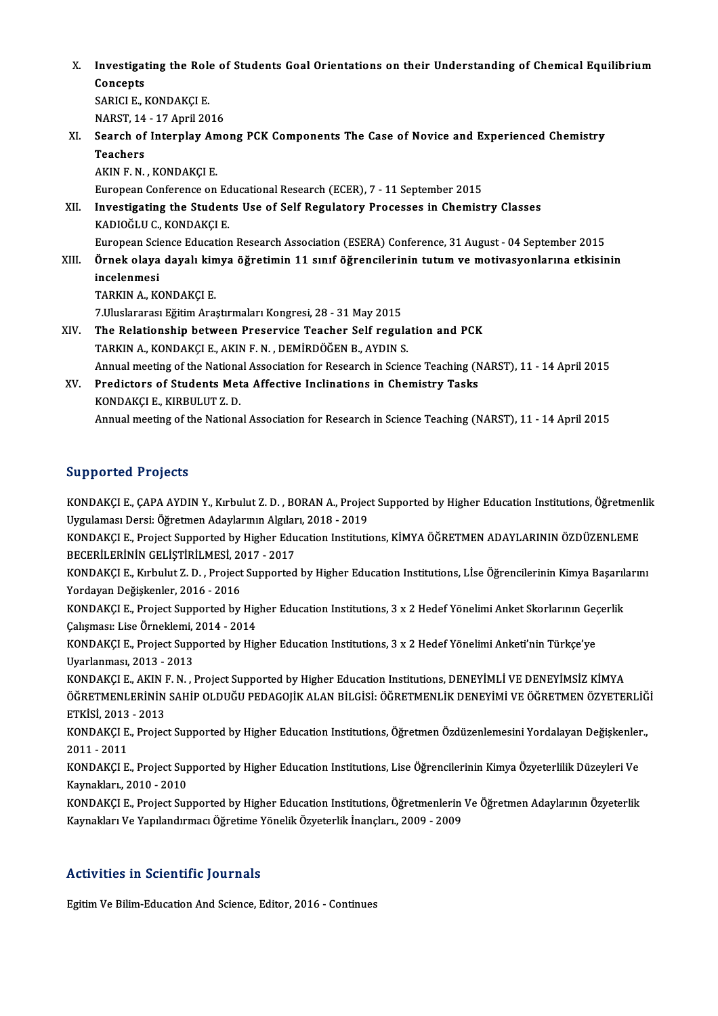X. Investigating the Role of Students Goal Orientations on their Understanding of Chemical Equilibrium Investigat<br>Concepts<br>SARICUE L Investigating the Role<br>Concepts<br>SARICI E., KONDAKÇI E.<br>NARST 14, 17 April 20 Concepts<br>SARICI E., KONDAKÇI E.<br>NARST, 14 - 17 April 2016<br>Searsh of Internley, Ame

SARICI E., KONDAKÇI E.<br>NARST, 14 - 17 April 2016<br>XI. Search of Interplay Among PCK Components The Case of Novice and Experienced Chemistry<br>Teachers NARST, 14<br>Search of<br>Teachers<br>AKIN E N Search of Interplay Am<br>Teachers<br>AKIN F.N., KONDAKÇI E.<br>European Conference on Teachers<br>AKIN F. N. , KONDAKÇI E.<br>European Conference on Educational Research (ECER), 7 - 11 September 2015

AKIN F. N. , KONDAKÇI E.<br>European Conference on Educational Research (ECER), 7 - 11 September 2015<br>XII. Investigating the Students Use of Self Regulatory Processes in Chemistry Classes<br>KADIOČU I.C. KONDAKCLE European Conference on Ed<br>Investigating the Student<br>KADIOĞLU C., KONDAKÇI E.<br>European Science Education Investigating the Students Use of Self Regulatory Processes in Chemistry Classes<br>KADIOĞLU C., KONDAKÇI E.<br>European Science Education Research Association (ESERA) Conference, 31 August - 04 September 2015<br>Önnek eleve devel:

KADIOĞLU C., KONDAKÇI E.<br>European Science Education Research Association (ESERA) Conference, 31 August - 04 September 2015<br>XIII. Örnek olaya dayalı kimya öğretimin 11 sınıf öğrencilerinin tutum ve motivasyonlarına etkisini European Scien<br><mark>Örnek olaya</mark><br>incelenmesi<br>TARKIN A. KG

TARKIN A., KONDAKÇI E. 7. Uluslararası Eğitim Araştırmaları Kongresi, 28 - 31 May 2015

TARKIN A., KONDAKÇI E.<br>7.Uluslararası Eğitim Araştırmaları Kongresi, 28 - 31 May 2015<br>XIV. TARKIN A. KONDAKÇI E. AKIN E.N., DEMİRDÖĞEN B. AYDIN S. 7.Uluslararası Eğitim Araştırmaları Kongresi, 28 - 31 May 2015<br>The Relationship between Preservice Teacher Self regula<br>TARKIN A., KONDAKÇI E., AKIN F. N. , DEMİRDÖĞEN B., AYDIN S.<br>Annual meeting of the National Association TARKIN A., KONDAKÇI E., AKIN F. N. , DEMİRDÖĞEN B., AYDIN S.<br>Annual meeting of the National Association for Research in Science Teaching (NARST), 11 - 14 April 2015 TARKIN A., KONDAKÇI E., AKIN F. N. , DEMİRDÖĞEN B., AYDIN S.<br>Annual meeting of the National Association for Research in Science Teaching (N<br>XV. Predictors of Students Meta Affective Inclinations in Chemistry Tasks<br>KONDAKCL

## Annual meeting of the Nationa<br>Predictors of Students Met<br>KONDAKÇI E., KIRBULUT Z. D.<br>Annual meeting of the Nationa KONDAKÇI E., KIRBULUT Z. D.<br>Annual meeting of the National Association for Research in Science Teaching (NARST), 11 - 14 April 2015

### Supported Projects

Supported Projects<br>KONDAKÇI E., ÇAPA AYDIN Y., Kırbulut Z. D. , BORAN A., Project Supported by Higher Education Institutions, Öğretmenlik<br>Urgulaması Dersi: Öğretmen Adevlerunu Algyları, 2019, 2019 UGPPUTUGI I TUJUUL<br>KONDAKÇI E., ÇAPA AYDIN Y., Kırbulut Z. D. , BORAN A., Projec<br>Uygulaması Dersi: Öğretmen Adaylarının Algıları, 2018 - 2019<br>KONDAKÇI E. Project Sunnerted bu Higher Education Instituti KONDAKÇI E., ÇAPA AYDIN Y., Kırbulut Z. D. , BORAN A., Project Supported by Higher Education Institutions, Öğretmen<br>Uygulaması Dersi: Öğretmen Adaylarının Algıları, 2018 - 2019<br>KONDAKÇI E., Project Supported by Higher Educ

Uygulaması Dersi: Öğretmen Adaylarının Algıları, 2018 - 2019<br>KONDAKÇI E., Project Supported by Higher Education Institutions, KİMYA ÖĞRETMEN ADAYLARININ ÖZDÜZENLEME<br>BECERİLERİNİN GELİŞTİRİLMESİ, 2017 - 2017 KONDAKÇI E., Project Supported by Higher Education Institutions, KİMYA ÖĞRETMEN ADAYLARININ ÖZDÜZENLEME<br>BECERİLERİNİN GELİŞTİRİLMESİ, 2017 - 2017<br>KONDAKÇI E., Kırbulut Z. D. , Project Supported by Higher Education Institut

BECERİLERİNİN GELİŞTİRİLMESİ, 20<br>KONDAKÇI E., Kırbulut Z. D. , Project<br>Yordayan Değişkenler, 2016 - 2016<br>KONDAKÇI E. Project Sunnerted bu KONDAKÇI E., Kırbulut Z. D. , Project Supported by Higher Education Institutions, Lİse Öğrencilerinin Kimya Başarıl:<br>Yordayan Değişkenler, 2016 - 2016<br>KONDAKÇI E., Project Supported by Higher Education Institutions, 3 x 2

Yordayan Değişkenler, 2016 - 2016<br>KONDAKÇI E., Project Supported by Hig<br>Çalışması: Lise Örneklemi, 2014 - 2014<br>KONDAKÇI E. Project Supported bu Hig KONDAKÇI E., Project Supported by Higher Education Institutions, 3 x 2 Hedef Yönelimi Anket Skorlarının Geç<br>Çalışması: Lise Örneklemi, 2014 - 2014<br>KONDAKÇI E., Project Supported by Higher Education Institutions, 3 x 2 Hede

Çalışması: Lise Örneklemi, 2014 - 2014<br>KONDAKÇI E., Project Supported by Higher Education Institutions, 3 x 2 Hedef Yönelimi Anketi'nin Türkçe'ye<br>Uyarlanması, 2013 - 2013

KONDAKÇI E., AKIN F. N., Project Supported by Higher Education Institutions, DENEYİMLİ VE DENEYİMSİZ KİMYA Uyarlanması, 2013 - 2013<br>KONDAKÇI E., AKIN F. N. , Project Supported by Higher Education Institutions, DENEYİMLİ VE DENEYİMSİZ KİMYA<br>ÖĞRETMENLERİNİN SAHİP OLDUĞU PEDAGOJİK ALAN BİLGİSİ: ÖĞRETMENLİK DENEYİMİ VE ÖĞRETMEN ÖZY KONDAKÇI E., AKIN I<br>ÖĞRETMENLERİNİN<br>ETKİSİ, 2013 - 2013<br>KONDAKÇI E. Prajaç ÖĞRETMENLERİNİN SAHİP OLDUĞU PEDAGOJİK ALAN BİLGİSİ: ÖĞRETMENLİK DENEYİMİ VE ÖĞRETMEN ÖZYETERLİĞ<br>ETKİSİ, 2013 - 2013<br>KONDAKÇI E., Project Supported by Higher Education Institutions, Öğretmen Özdüzenlemesini Yordalayan Deği

ETKİSİ, 2013<br>KONDAKÇI E.<br>2011 - 2011<br>KONDAKÇI E KONDAKÇI E., Project Supported by Higher Education Institutions, Öğretmen Özdüzenlemesini Yordalayan Değişkenler<br>2011 - 2011<br>KONDAKÇI E., Project Supported by Higher Education Institutions, Lise Öğrencilerinin Kimya Özyete

2011 - 2011<br>KONDAKÇI E., Project Supported by Higher Education Institutions, Lise Öğrencilerinin Kimya Özyeterlilik Düzeyleri Ve<br>Kaynakları., 2010 - 2010 KONDAKÇI E., Project Supported by Higher Education Institutions, Lise Öğrencilerinin Kimya Özyeterlilik Düzeyleri Ve<br>Kaynakları., 2010 - 2010<br>KONDAKÇI E., Project Supported by Higher Education Institutions, Öğretmenlerin V

Kaynakları., 2010 - 2010<br>KONDAKÇI E., Project Supported by Higher Education Institutions, Öğretmenlerin<br>Kaynakları Ve Yapılandırmacı Öğretime Yönelik Özyeterlik İnançları., 2009 - 2009 Kaynakları Ve Yapılandırmacı Öğretime Yönelik Özyeterlik İnançları., 2009 - 2009<br>Activities in Scientific Journals

Egitim Ve Bilim-Education And Science, Editor, 2016 - Continues